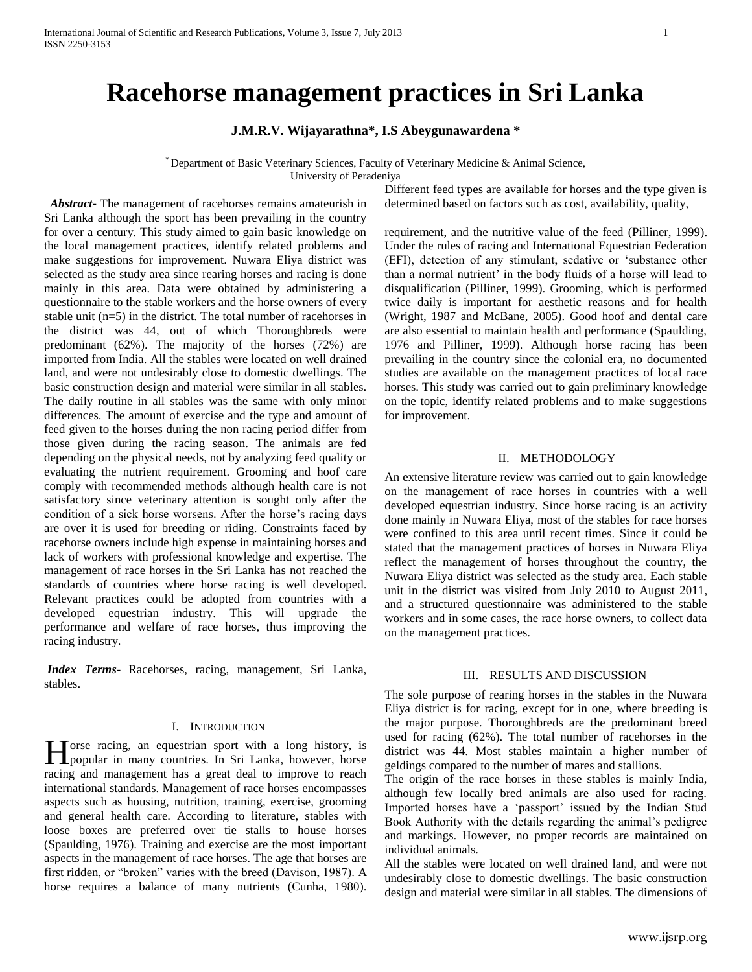# **Racehorse management practices in Sri Lanka**

# **J.M.R.V. Wijayarathna\*, I.S Abeygunawardena \***

\* Department of Basic Veterinary Sciences, Faculty of Veterinary Medicine & Animal Science,

University of Peradeniya

 *Abstract***-** The management of racehorses remains amateurish in Sri Lanka although the sport has been prevailing in the country for over a century. This study aimed to gain basic knowledge on the local management practices, identify related problems and make suggestions for improvement. Nuwara Eliya district was selected as the study area since rearing horses and racing is done mainly in this area. Data were obtained by administering a questionnaire to the stable workers and the horse owners of every stable unit (n=5) in the district. The total number of racehorses in the district was 44, out of which Thoroughbreds were predominant (62%). The majority of the horses (72%) are imported from India. All the stables were located on well drained land, and were not undesirably close to domestic dwellings. The basic construction design and material were similar in all stables. The daily routine in all stables was the same with only minor differences. The amount of exercise and the type and amount of feed given to the horses during the non racing period differ from those given during the racing season. The animals are fed depending on the physical needs, not by analyzing feed quality or evaluating the nutrient requirement. Grooming and hoof care comply with recommended methods although health care is not satisfactory since veterinary attention is sought only after the condition of a sick horse worsens. After the horse's racing days are over it is used for breeding or riding. Constraints faced by racehorse owners include high expense in maintaining horses and lack of workers with professional knowledge and expertise. The management of race horses in the Sri Lanka has not reached the standards of countries where horse racing is well developed. Relevant practices could be adopted from countries with a developed equestrian industry. This will upgrade the performance and welfare of race horses, thus improving the racing industry.

*Index Terms*- Racehorses, racing, management, Sri Lanka, stables.

## I. INTRODUCTION

Torse racing, an equestrian sport with a long history, is Horse racing, an equestrian sport with a long history, is popular in many countries. In Sri Lanka, however, horse racing and management has a great deal to improve to reach international standards. Management of race horses encompasses aspects such as housing, nutrition, training, exercise, grooming and general health care. According to literature, stables with loose boxes are preferred over tie stalls to house horses (Spaulding, 1976). Training and exercise are the most important aspects in the management of race horses. The age that horses are first ridden, or "broken" varies with the breed (Davison, 1987). A horse requires a balance of many nutrients (Cunha, 1980).

Different feed types are available for horses and the type given is determined based on factors such as cost, availability, quality,

requirement, and the nutritive value of the feed (Pilliner, 1999). Under the rules of racing and International Equestrian Federation (EFI), detection of any stimulant, sedative or 'substance other than a normal nutrient' in the body fluids of a horse will lead to disqualification (Pilliner, 1999). Grooming, which is performed twice daily is important for aesthetic reasons and for health (Wright, 1987 and McBane, 2005). Good hoof and dental care are also essential to maintain health and performance (Spaulding, 1976 and Pilliner, 1999). Although horse racing has been prevailing in the country since the colonial era, no documented studies are available on the management practices of local race horses. This study was carried out to gain preliminary knowledge on the topic, identify related problems and to make suggestions for improvement.

## II. METHODOLOGY

An extensive literature review was carried out to gain knowledge on the management of race horses in countries with a well developed equestrian industry. Since horse racing is an activity done mainly in Nuwara Eliya, most of the stables for race horses were confined to this area until recent times. Since it could be stated that the management practices of horses in Nuwara Eliya reflect the management of horses throughout the country, the Nuwara Eliya district was selected as the study area. Each stable unit in the district was visited from July 2010 to August 2011, and a structured questionnaire was administered to the stable workers and in some cases, the race horse owners, to collect data on the management practices.

# III. RESULTS AND DISCUSSION

The sole purpose of rearing horses in the stables in the Nuwara Eliya district is for racing, except for in one, where breeding is the major purpose. Thoroughbreds are the predominant breed used for racing (62%). The total number of racehorses in the district was 44. Most stables maintain a higher number of geldings compared to the number of mares and stallions.

The origin of the race horses in these stables is mainly India, although few locally bred animals are also used for racing. Imported horses have a 'passport' issued by the Indian Stud Book Authority with the details regarding the animal's pedigree and markings. However, no proper records are maintained on individual animals.

All the stables were located on well drained land, and were not undesirably close to domestic dwellings. The basic construction design and material were similar in all stables. The dimensions of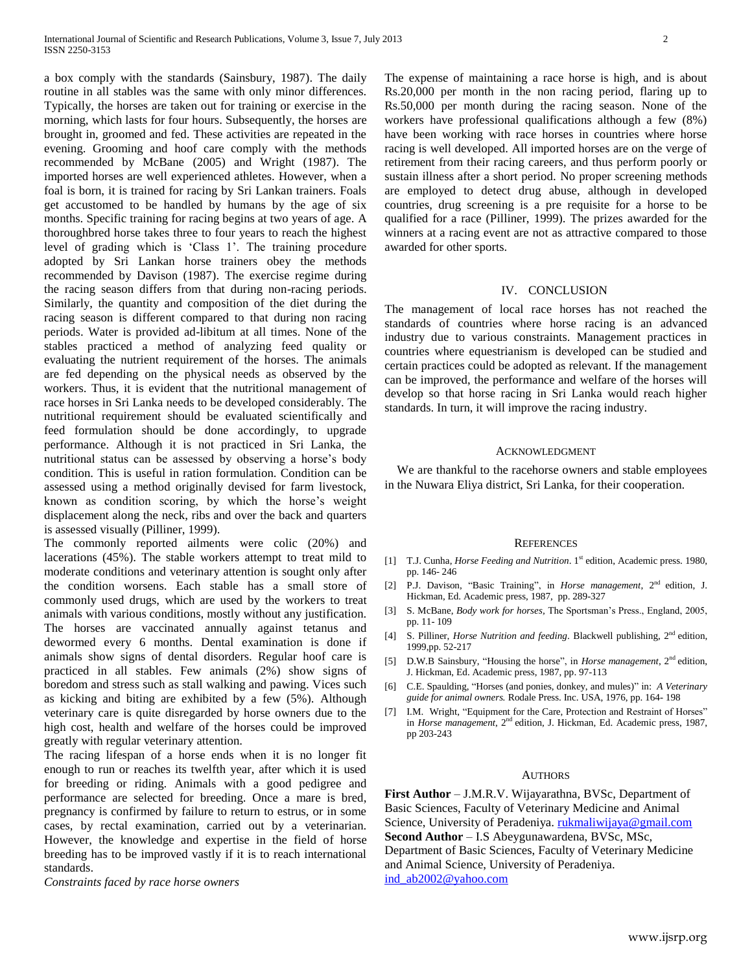a box comply with the standards (Sainsbury, 1987). The daily routine in all stables was the same with only minor differences. Typically, the horses are taken out for training or exercise in the morning, which lasts for four hours. Subsequently, the horses are brought in, groomed and fed. These activities are repeated in the evening. Grooming and hoof care comply with the methods recommended by McBane (2005) and Wright (1987). The imported horses are well experienced athletes. However, when a foal is born, it is trained for racing by Sri Lankan trainers. Foals get accustomed to be handled by humans by the age of six months. Specific training for racing begins at two years of age. A thoroughbred horse takes three to four years to reach the highest level of grading which is 'Class 1'. The training procedure adopted by Sri Lankan horse trainers obey the methods recommended by Davison (1987). The exercise regime during the racing season differs from that during non-racing periods. Similarly, the quantity and composition of the diet during the racing season is different compared to that during non racing periods. Water is provided ad-libitum at all times. None of the stables practiced a method of analyzing feed quality or evaluating the nutrient requirement of the horses. The animals are fed depending on the physical needs as observed by the workers. Thus, it is evident that the nutritional management of race horses in Sri Lanka needs to be developed considerably. The nutritional requirement should be evaluated scientifically and feed formulation should be done accordingly, to upgrade performance. Although it is not practiced in Sri Lanka, the nutritional status can be assessed by observing a horse's body condition. This is useful in ration formulation. Condition can be assessed using a method originally devised for farm livestock, known as condition scoring, by which the horse's weight displacement along the neck, ribs and over the back and quarters is assessed visually (Pilliner, 1999).

The commonly reported ailments were colic (20%) and lacerations (45%). The stable workers attempt to treat mild to moderate conditions and veterinary attention is sought only after the condition worsens. Each stable has a small store of commonly used drugs, which are used by the workers to treat animals with various conditions, mostly without any justification. The horses are vaccinated annually against tetanus and dewormed every 6 months. Dental examination is done if animals show signs of dental disorders. Regular hoof care is practiced in all stables. Few animals (2%) show signs of boredom and stress such as stall walking and pawing. Vices such as kicking and biting are exhibited by a few (5%). Although veterinary care is quite disregarded by horse owners due to the high cost, health and welfare of the horses could be improved greatly with regular veterinary attention.

The racing lifespan of a horse ends when it is no longer fit enough to run or reaches its twelfth year, after which it is used for breeding or riding. Animals with a good pedigree and performance are selected for breeding. Once a mare is bred, pregnancy is confirmed by failure to return to estrus, or in some cases, by rectal examination, carried out by a veterinarian. However, the knowledge and expertise in the field of horse breeding has to be improved vastly if it is to reach international standards.

*Constraints faced by race horse owners*

The expense of maintaining a race horse is high, and is about Rs.20,000 per month in the non racing period, flaring up to Rs.50,000 per month during the racing season. None of the workers have professional qualifications although a few (8%) have been working with race horses in countries where horse racing is well developed. All imported horses are on the verge of retirement from their racing careers, and thus perform poorly or sustain illness after a short period. No proper screening methods are employed to detect drug abuse, although in developed countries, drug screening is a pre requisite for a horse to be qualified for a race (Pilliner, 1999). The prizes awarded for the winners at a racing event are not as attractive compared to those awarded for other sports.

### IV. CONCLUSION

The management of local race horses has not reached the standards of countries where horse racing is an advanced industry due to various constraints. Management practices in countries where equestrianism is developed can be studied and certain practices could be adopted as relevant. If the management can be improved, the performance and welfare of the horses will develop so that horse racing in Sri Lanka would reach higher standards. In turn, it will improve the racing industry.

### ACKNOWLEDGMENT

We are thankful to the racehorse owners and stable employees in the Nuwara Eliya district, Sri Lanka, for their cooperation.

#### **REFERENCES**

- [1] T.J. Cunha, *Horse Feeding and Nutrition*. 1<sup>st</sup> edition, Academic press. 1980, pp. 146- 246
- [2] P.J. Davison, "Basic Training", in *Horse management*, 2nd edition, J. Hickman, Ed. Academic press, 1987, pp. 289-327
- [3] S. McBane, *Body work for horses,* The Sportsman's Press., England, 2005, pp. 11- 109
- [4] S. Pilliner, *Horse Nutrition and feeding*. Blackwell publishing, 2<sup>nd</sup> edition, 1999,pp. 52-217
- [5] D.W.B Sainsbury, "Housing the horse", in *Horse management*, 2nd edition, J. Hickman, Ed. Academic press, 1987, pp. 97-113
- [6] C.E. Spaulding, "Horses (and ponies, donkey, and mules)" in: *A Veterinary guide for animal owners.* Rodale Press. Inc. USA, 1976, pp. 164- 198
- [7] I.M. Wright, "Equipment for the Care, Protection and Restraint of Horses" in *Horse management*, 2<sup>nd</sup> edition, J. Hickman, Ed. Academic press, 1987, pp 203-243

#### **AUTHORS**

**First Author** – J.M.R.V. Wijayarathna, BVSc, Department of Basic Sciences, Faculty of Veterinary Medicine and Animal Science, University of Peradeniya. [rukmaliwijaya@gmail.com](mailto:rukmaliwijaya@gmail.com) **Second Author** – I.S Abeygunawardena, BVSc, MSc, Department of Basic Sciences, Faculty of Veterinary Medicine and Animal Science, University of Peradeniya. [ind\\_ab2002@yahoo.com](mailto:ind_ab2002@yahoo.com)